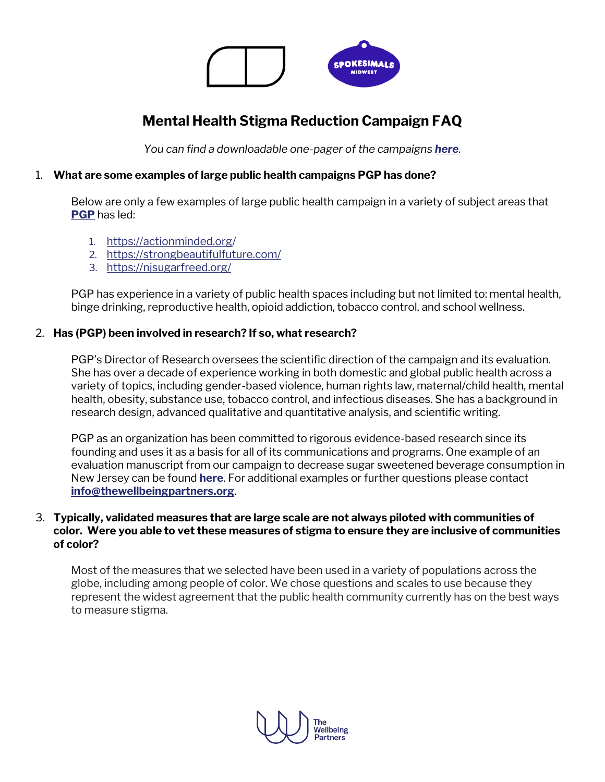

# **Mental Health Stigma Reduction Campaign FAQ**

*You can find a downloadable one-pager of the campaigns [here](https://www.thewellbeingpartners.org/wp-content/uploads/2020/08/What-Makes-Us_Spokesimals-Midwest-One-Pager-1.pdf).*

# 1. **What are some examples of large public health campaigns PGP has done?**

Below are only a few examples of large public health campaign in a variety of subject areas that **[PGP](http://publicgoodprojects.org/)** has led:

- 1. <https://actionminded.org/>
- 2. <https://strongbeautifulfuture.com/>
- 3. <https://njsugarfreed.org/>

PGP has experience in a variety of public health spaces including but not limited to: mental health, binge drinking, reproductive health, opioid addiction, tobacco control, and school wellness.

## 2. **Has (PGP) been involved in research? If so, what research?**

PGP's Director of Research oversees the scientific direction of the campaign and its evaluation. She has over a decade of experience working in both domestic and global public health across a variety of topics, including gender-based violence, human rights law, maternal/child health, mental health, obesity, substance use, tobacco control, and infectious diseases. She has a background in research design, advanced qualitative and quantitative analysis, and scientific writing.

PGP as an organization has been committed to rigorous evidence-based research since its founding and uses it as a basis for all of its communications and programs. One example of an evaluation manuscript from our campaign to decrease sugar sweetened beverage consumption in New Jersey can be found **[here](https://pubmed.ncbi.nlm.nih.gov/32205177/)**. For additional examples or further questions please contact **[info@thewellbeingpartners.org](mailto:info@thewellbeingpartners.org)**.

#### 3. **Typically, validated measures that are large scale are not always piloted with communities of color. Were you able to vet these measures of stigma to ensure they are inclusive of communities of color?**

Most of the measures that we selected have been used in a variety of populations across the globe, including among people of color. We chose questions and scales to use because they represent the widest agreement that the public health community currently has on the best ways to measure stigma.

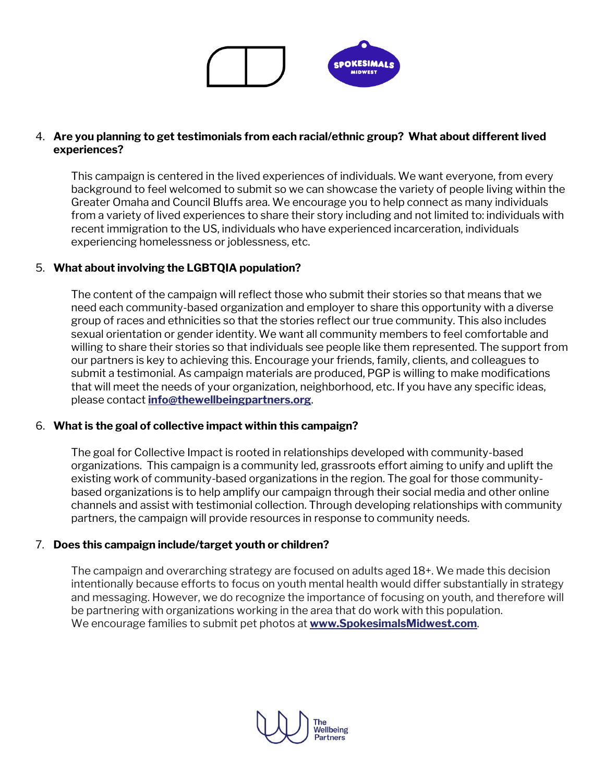

# 4. **Are you planning to get testimonials from each racial/ethnic group? What about different lived experiences?**

This campaign is centered in the lived experiences of individuals. We want everyone, from every background to feel welcomed to submit so we can showcase the variety of people living within the Greater Omaha and Council Bluffs area. We encourage you to help connect as many individuals from a variety of lived experiences to share their story including and not limited to: individuals with recent immigration to the US, individuals who have experienced incarceration, individuals experiencing homelessness or joblessness, etc.

## 5. **What about involving the LGBTQIA population?**

The content of the campaign will reflect those who submit their stories so that means that we need each community-based organization and employer to share this opportunity with a diverse group of races and ethnicities so that the stories reflect our true community. This also includes sexual orientation or gender identity. We want all community members to feel comfortable and willing to share their stories so that individuals see people like them represented. The support from our partners is key to achieving this. Encourage your friends, family, clients, and colleagues to submit a testimonial. As campaign materials are produced, PGP is willing to make modifications that will meet the needs of your organization, neighborhood, etc. If you have any specific ideas, please contact **[info@thewellbeingpartners.org](mailto:info@thewellbeingpartners.org)**.

#### 6. **What is the goal of collective impact within this campaign?**

The goal for Collective Impact is rooted in relationships developed with community-based organizations. This campaign is a community led, grassroots effort aiming to unify and uplift the existing work of community-based organizations in the region. The goal for those communitybased organizations is to help amplify our campaign through their social media and other online channels and assist with testimonial collection. Through developing relationships with community partners, the campaign will provide resources in response to community needs.

#### 7. **Does this campaign include/target youth or children?**

The campaign and overarching strategy are focused on adults aged 18+. We made this decision intentionally because efforts to focus on youth mental health would differ substantially in strategy and messaging. However, we do recognize the importance of focusing on youth, and therefore will be partnering with organizations working in the area that do work with this population. We encourage families to submit pet photos at **[www.SpokesimalsMidwest.com](http://www.spokesimalsmidwest.com/)**.